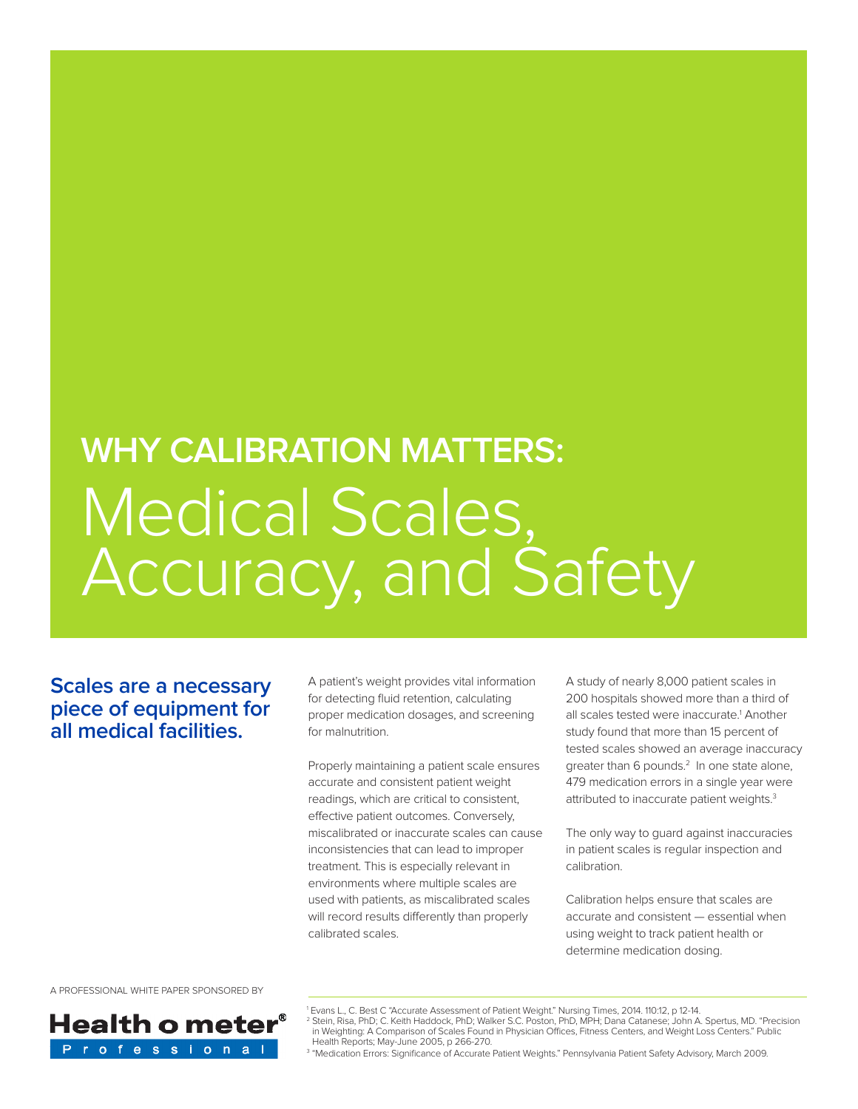# **WHY CALIBRATION MATTERS:** Medical Scales, Accuracy, and Safety

**Scales are a necessary piece of equipment for all medical facilities.** 

A patient's weight provides vital information for detecting fluid retention, calculating proper medication dosages, and screening for malnutrition.

Properly maintaining a patient scale ensures accurate and consistent patient weight readings, which are critical to consistent, effective patient outcomes. Conversely, miscalibrated or inaccurate scales can cause inconsistencies that can lead to improper treatment. This is especially relevant in environments where multiple scales are used with patients, as miscalibrated scales will record results differently than properly calibrated scales.

A study of nearly 8,000 patient scales in 200 hospitals showed more than a third of all scales tested were inaccurate.<sup>1</sup> Another study found that more than 15 percent of tested scales showed an average inaccuracy greater than 6 pounds.<sup>2</sup> In one state alone, 479 medication errors in a single year were attributed to inaccurate patient weights.<sup>3</sup>

The only way to guard against inaccuracies in patient scales is regular inspection and calibration.

Calibration helps ensure that scales are accurate and consistent — essential when using weight to track patient health or determine medication dosing.

A PROFESSIONAL WHITE PAPER SPONSORED BY



<sup>1</sup> Evans L., C. Best C "Accurate Assessment of Patient Weight." Nursing Times, 2014. 110:12, p 12-14. <sup>2</sup> Stein, Risa, PhD; C. Keith Haddock, PhD; Walker S.C. Poston, PhD, MPH; Dana Catanese; John A. Spertus, MD. "Precision in Weighting: A Comparison of Scales Found in Physician Offices, Fitness Centers, and Weight Loss Centers." Public Health Reports; May-June 2005, p 266-270.

<sup>3</sup> "Medication Errors: Significance of Accurate Patient Weights." Pennsylvania Patient Safety Advisory, March 2009.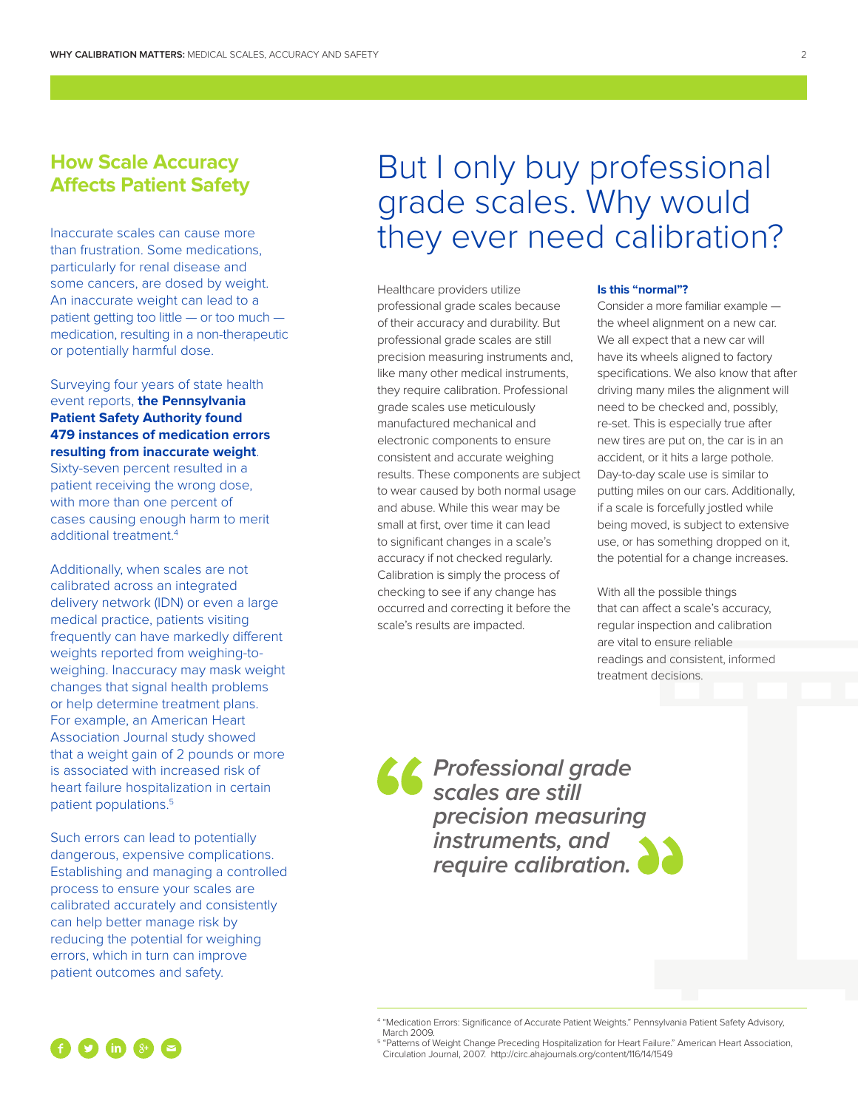#### **How Scale Accuracy Affects Patient Safety**

Inaccurate scales can cause more than frustration. Some medications, particularly for renal disease and some cancers, are dosed by weight. An inaccurate weight can lead to a patient getting too little — or too much medication, resulting in a non-therapeutic or potentially harmful dose.

#### Surveying four years of state health event reports, **the Pennsylvania Patient Safety Authority found 479 instances of medication errors resulting from inaccurate weight**.

Sixty-seven percent resulted in a patient receiving the wrong dose, with more than one percent of cases causing enough harm to merit additional treatment.<sup>4</sup>

Additionally, when scales are not calibrated across an integrated delivery network (IDN) or even a large medical practice, patients visiting frequently can have markedly different weights reported from weighing-toweighing. Inaccuracy may mask weight changes that signal health problems or help determine treatment plans. For example, an American Heart Association Journal study showed that a weight gain of 2 pounds or more is associated with increased risk of heart failure hospitalization in certain patient populations.5

Such errors can lead to potentially dangerous, expensive complications. Establishing and managing a controlled process to ensure your scales are calibrated accurately and consistently can help better manage risk by reducing the potential for weighing errors, which in turn can improve patient outcomes and safety.

# But I only buy professional grade scales. Why would they ever need calibration?

Healthcare providers utilize professional grade scales because of their accuracy and durability. But professional grade scales are still precision measuring instruments and, like many other medical instruments, they require calibration. Professional grade scales use meticulously manufactured mechanical and electronic components to ensure consistent and accurate weighing results. These components are subject to wear caused by both normal usage and abuse. While this wear may be small at first, over time it can lead to significant changes in a scale's accuracy if not checked regularly. Calibration is simply the process of checking to see if any change has occurred and correcting it before the scale's results are impacted.

#### **Is this "normal"?**

Consider a more familiar example the wheel alignment on a new car. We all expect that a new car will have its wheels aligned to factory specifications. We also know that after driving many miles the alignment will need to be checked and, possibly, re-set. This is especially true after new tires are put on, the car is in an accident, or it hits a large pothole. Day-to-day scale use is similar to putting miles on our cars. Additionally, if a scale is forcefully jostled while being moved, is subject to extensive use, or has something dropped on it, the potential for a change increases.

With all the possible things that can affect a scale's accuracy, regular inspection and calibration are vital to ensure reliable readings and consistent, informed treatment decisions.

**Professional grade scales are still precision measuring instruments, and require calibration.**

 $\bullet$   $\bullet$   $\bullet$   $\bullet$   $\bullet$   $\bullet$   $\bullet$ 

<sup>4</sup> "Medication Errors: Significance of Accurate Patient Weights." Pennsylvania Patient Safety Advisory, March 2009.

<sup>&</sup>lt;sup>5</sup> "Patterns of Weight Change Preceding Hospitalization for Heart Failure." American Heart Association, Circulation Journal, 2007. http://circ.ahajournals.org/content/116/14/1549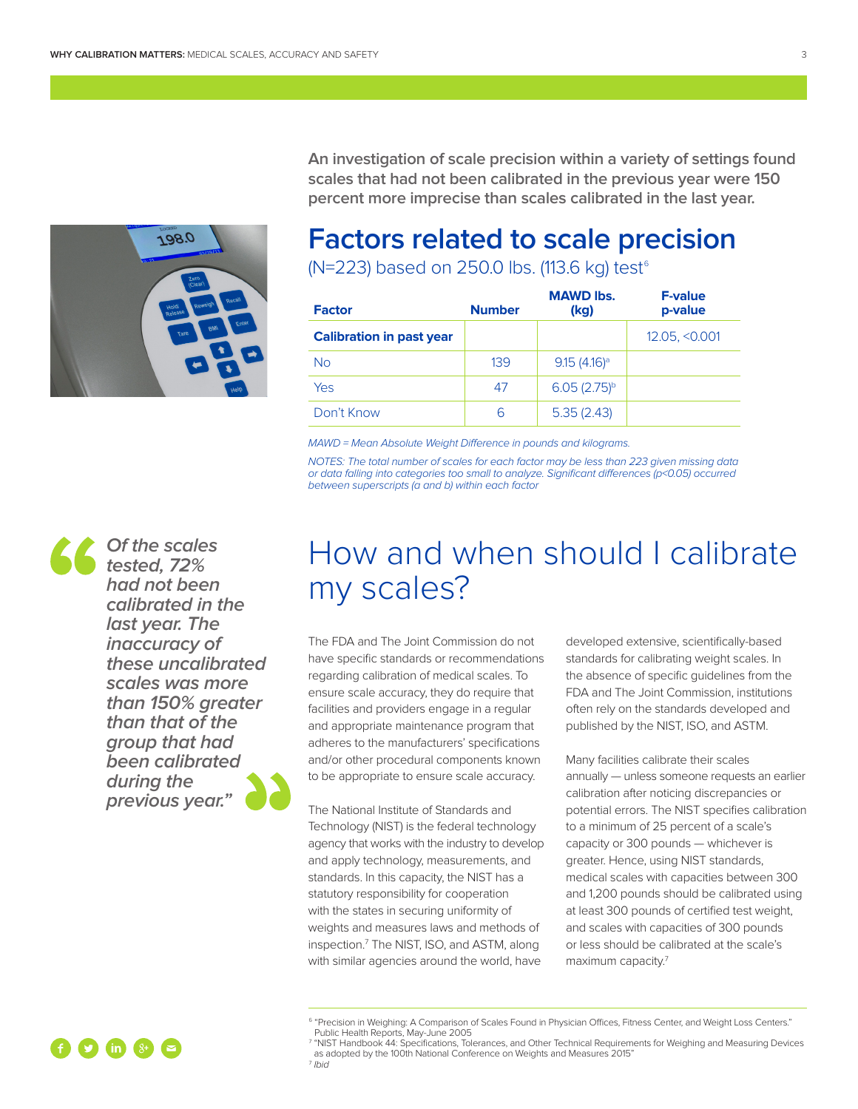

**An investigation of scale precision within a variety of settings found scales that had not been calibrated in the previous year were 150 percent more imprecise than scales calibrated in the last year.** 

## **Factors related to scale precision**

(N=223) based on 250.0 lbs. (113.6 kg) test<sup>6</sup>

| <b>Factor</b>                   | <b>Number</b> | <b>MAWD lbs.</b><br>(kg) | <b>F-value</b><br>p-value |
|---------------------------------|---------------|--------------------------|---------------------------|
| <b>Calibration in past year</b> |               |                          | 12.05, < 0.001            |
| <b>No</b>                       | 139           | $9.15(4.16)^a$           |                           |
| Yes                             | 47            | $6.05(2.75)^{b}$         |                           |
| Don't Know                      | 6             | 5.35(2.43)               |                           |

MAWD = Mean Absolute Weight Difference in pounds and kilograms.

NOTES: The total number of scales for each factor may be less than 223 given missing data or data falling into categories too small to analyze. Significant differences (p<0.05) occurred between superscripts (a and b) within each factor

**Of the scales tested, 72% had not been calibrated in the last year. The inaccuracy of these uncalibrated scales was more than 150% greater than that of the group that had been calibrated during the previous year."**

# How and when should I calibrate my scales?

The FDA and The Joint Commission do not have specific standards or recommendations regarding calibration of medical scales. To ensure scale accuracy, they do require that facilities and providers engage in a regular and appropriate maintenance program that adheres to the manufacturers' specifications and/or other procedural components known to be appropriate to ensure scale accuracy.

The National Institute of Standards and Technology (NIST) is the federal technology agency that works with the industry to develop and apply technology, measurements, and standards. In this capacity, the NIST has a statutory responsibility for cooperation with the states in securing uniformity of weights and measures laws and methods of inspection.7 The NIST, ISO, and ASTM, along with similar agencies around the world, have

developed extensive, scientifically-based standards for calibrating weight scales. In the absence of specific guidelines from the FDA and The Joint Commission, institutions often rely on the standards developed and published by the NIST, ISO, and ASTM.

Many facilities calibrate their scales annually — unless someone requests an earlier calibration after noticing discrepancies or potential errors. The NIST specifies calibration to a minimum of 25 percent of a scale's capacity or 300 pounds — whichever is greater. Hence, using NIST standards, medical scales with capacities between 300 and 1,200 pounds should be calibrated using at least 300 pounds of certified test weight, and scales with capacities of 300 pounds or less should be calibrated at the scale's maximum capacity.<sup>7</sup>

<sup>7</sup> "NIST Handbook 44: Specifications, Tolerances, and Other Technical Requirements for Weighing and Measuring Devices as adopted by the 100th National Conference on Weights and Measures 2015" <sup>7</sup> Ibid



<sup>&</sup>lt;sup>6</sup> "Precision in Weighing: A Comparison of Scales Found in Physician Offices, Fitness Center, and Weight Loss Centers." Public Health Reports, May-June 2005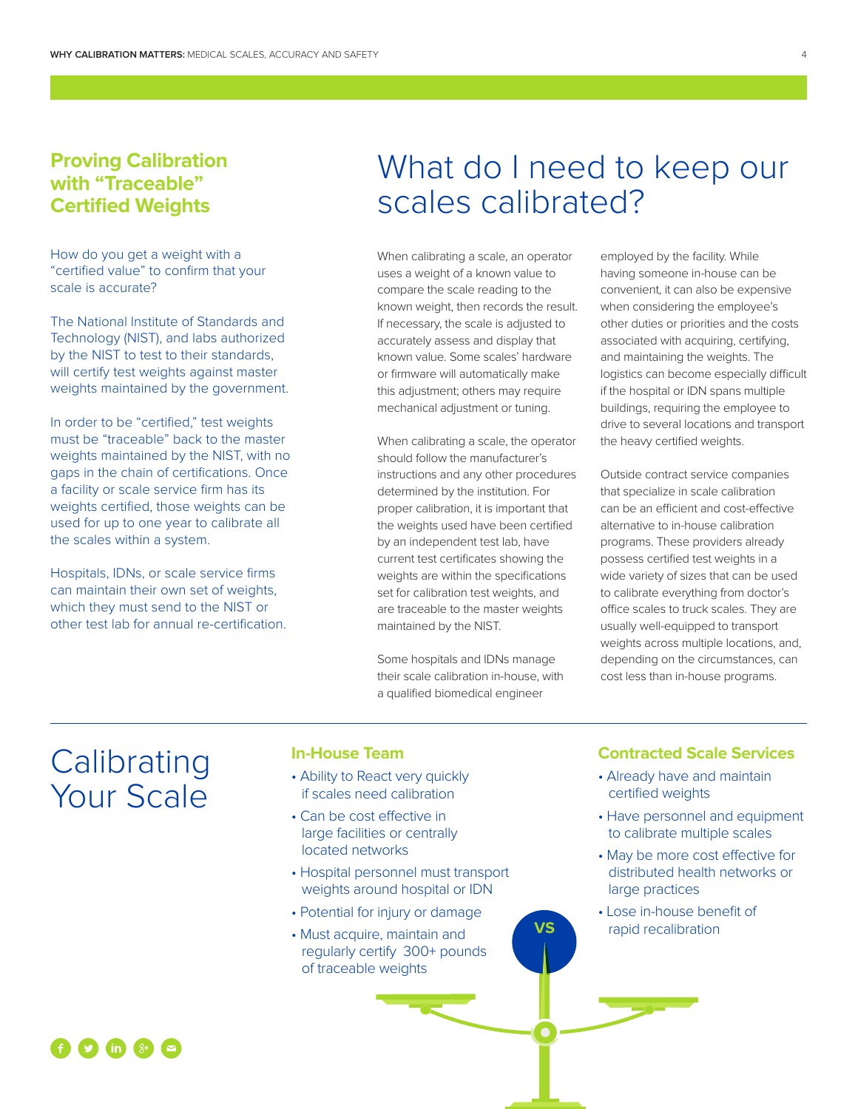#### **Proving Calibration with "Traceable" Certified Weights**

How do you get a weight with a "certified value" to confirm that your scale is accurate?

The National Institute of Standards and Technology (NIST), and labs authorized by the NIST to test to their standards, will certify test weights against master weights maintained by the government.

In order to be "certified," test weights must be "traceable" back to the master weights maintained by the NIST, with no gaps in the chain of certifications. Once a facility or scale service firm has its weights certified, those weights can be used for up to one year to calibrate all the scales within a system.

Hospitals, IDNs, or scale service firms can maintain their own set of weights, which they must send to the NIST or other test lab for annual re-certification.

# What do I need to keep our scales calibrated?

When calibrating a scale, an operator uses a weight of a known value to compare the scale reading to the known weight, then records the result. If necessary, the scale is adjusted to accurately assess and display that known value. Some scales' hardware or firmware will automatically make this adjustment; others may require mechanical adjustment or tuning.

When calibrating a scale, the operator should follow the manufacturer's instructions and any other procedures determined by the institution. For proper calibration, it is important that the weights used have been certified by an independent test lab, have current test certificates showing the weights are within the specifications set for calibration test weights, and are traceable to the master weights maintained by the NIST.

Some hospitals and IDNs manage their scale calibration in-house, with a qualified biomedical engineer

 $\bullet$ 

employed by the facility. While having someone in-house can be convenient, it can also be expensive when considering the employee's other duties or priorities and the costs associated with acquiring, certifying, and maintaining the weights. The logistics can become especially difficult if the hospital or IDN spans multiple buildings, requiring the employee to drive to several locations and transport the heavy certified weights.

Outside contract service companies that specialize in scale calibration can be an efficient and cost-effective alternative to in-house calibration programs. These providers already possess certified test weights in a wide variety of sizes that can be used to calibrate everything from doctor's office scales to truck scales. They are usually well-equipped to transport weights across multiple locations, and, depending on the circumstances, can cost less than in-house programs.

## **Calibrating** Your Scale

#### **In-House Team**

- Ability to React very quickly if scales need calibration
- Can be cost effective in large facilities or centrally located networks
- Hospital personnel must transport weights around hospital or IDN
- Potential for injury or damage
- Must acquire, maintain and regularly certify 300+ pounds of traceable weights

#### **Contracted Scale Services**

- Already have and maintain certified weights
- Have personnel and equipment to calibrate multiple scales
- May be more cost effective for distributed health networks or large practices
- Lose in-house benefit of rapid recalibration

#### $\bigoplus$   $\bigoplus$   $\bigoplus$   $\bigoplus$